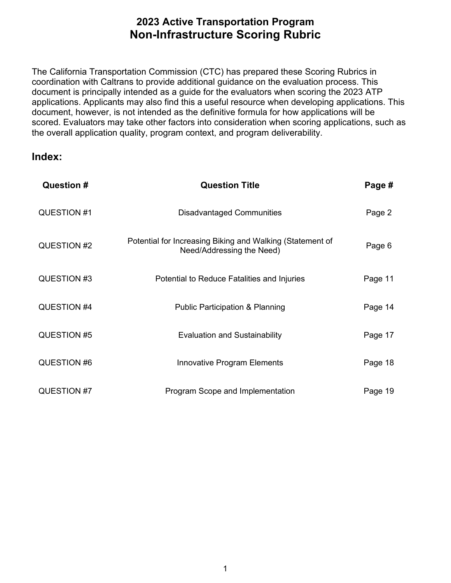the overall application quality, program context, and program deliverability. The California Transportation Commission (CTC) has prepared these Scoring Rubrics in coordination with Caltrans to provide additional guidance on the evaluation process. This document is principally intended as a guide for the evaluators when scoring the 2023 ATP applications. Applicants may also find this a useful resource when developing applications. This document, however, is not intended as the definitive formula for how applications will be scored. Evaluators may take other factors into consideration when scoring applications, such as

**Index:** 

| Question #  | <b>Question Title</b>                                                                  | Page #  |
|-------------|----------------------------------------------------------------------------------------|---------|
| QUESTION #1 | <b>Disadvantaged Communities</b>                                                       | Page 2  |
| QUESTION #2 | Potential for Increasing Biking and Walking (Statement of<br>Need/Addressing the Need) | Page 6  |
| QUESTION #3 | Potential to Reduce Fatalities and Injuries                                            | Page 11 |
| QUESTION #4 | <b>Public Participation &amp; Planning</b>                                             | Page 14 |
| QUESTION #5 | <b>Evaluation and Sustainability</b>                                                   | Page 17 |
| QUESTION #6 | <b>Innovative Program Elements</b>                                                     | Page 18 |
| QUESTION #7 | Program Scope and Implementation                                                       | Page 19 |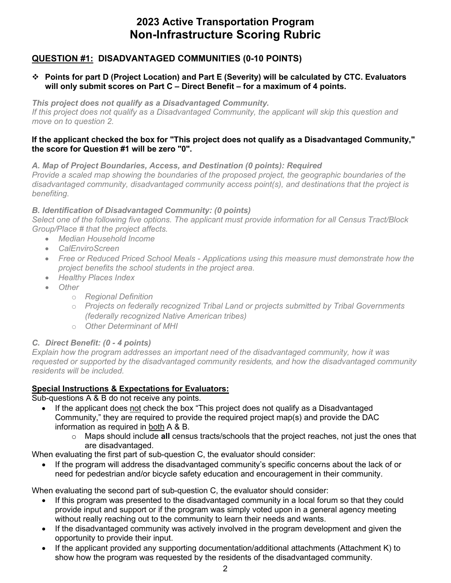### **QUESTION #1: DISADVANTAGED COMMUNITIES (0-10 POINTS)**

#### **Points for part D (Project Location) and Part E (Severity) will be calculated by CTC. Evaluators will only submit scores on Part C – Direct Benefit – for a maximum of 4 points.**

*This project does not qualify as a Disadvantaged Community. If this project does not qualify as a Disadvantaged Community, the applicant will skip this question and move on to question 2.* 

#### **the score for Question #1 will be zero "0". If the applicant checked the box for "This project does not qualify as a Disadvantaged Community,"**

*A. Map of Project Boundaries, Access, and Destination (0 points): Required* 

 *Provide a scaled map showing the boundaries of the proposed project, the geographic boundaries of the disadvantaged community, disadvantaged community access point(s), and destinations that the project is benefiting.* 

#### *B. Identification of Disadvantaged Community: (0 points)*

*Select one of the following five options. The applicant must provide information for all Census Tract/Block Group/Place # that the project affects.* 

- *Median Household Income*
- *CalEnviroScreen*
- *Free or Reduced Priced School Meals - Applications using this measure must demonstrate how the project benefits the school students in the project area.*
- *Healthy Places Index*
- *Other* 
	- o *Regional Definition*
	- o *Projects on federally recognized Tribal Land or projects submitted by Tribal Governments (federally recognized Native American tribes)*
	- o *Other Determinant of MHI*

### *C. Direct Benefit: (0 - 4 points)*

 *Explain how the program addresses an important need of the disadvantaged community, how it was requested or supported by the disadvantaged community residents, and how the disadvantaged community residents will be included.* 

#### **Special Instructions & Expectations for Evaluators:**

Sub-questions A & B do not receive any points.

- If the applicant does not check the box "This project does not qualify as a Disadvantaged Community," they are required to provide the required project map(s) and provide the DAC information as required in both A & B.
	- o Maps should include **all** census tracts/schools that the project reaches, not just the ones that are disadvantaged.

When evaluating the first part of sub-question C, the evaluator should consider:

• If the program will address the disadvantaged community's specific concerns about the lack of or

need for pedestrian and/or bicycle safety education and encouragement in their community. When evaluating the second part of sub-question C, the evaluator should consider:

- • If this program was presented to the disadvantaged community in a local forum so that they could without really reaching out to the community to learn their needs and wants. provide input and support or if the program was simply voted upon in a general agency meeting
- If the disadvantaged community was actively involved in the program development and given the opportunity to provide their input.
- If the applicant provided any supporting documentation/additional attachments (Attachment K) to show how the program was requested by the residents of the disadvantaged community.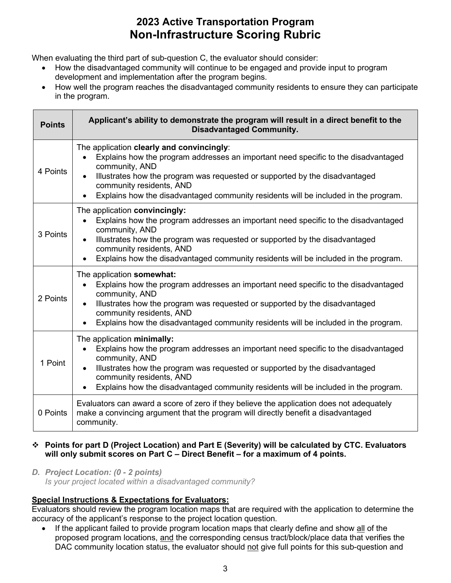When evaluating the third part of sub-question C, the evaluator should consider:

- • How the disadvantaged community will continue to be engaged and provide input to program development and implementation after the program begins.
- How well the program reaches the disadvantaged community residents to ensure they can participate in the program.

| <b>Points</b> | Applicant's ability to demonstrate the program will result in a direct benefit to the<br><b>Disadvantaged Community.</b>                                                                                                                                                                                                                                          |  |
|---------------|-------------------------------------------------------------------------------------------------------------------------------------------------------------------------------------------------------------------------------------------------------------------------------------------------------------------------------------------------------------------|--|
| 4 Points      | The application clearly and convincingly:<br>Explains how the program addresses an important need specific to the disadvantaged<br>community, AND<br>Illustrates how the program was requested or supported by the disadvantaged<br>community residents, AND<br>Explains how the disadvantaged community residents will be included in the program.               |  |
| 3 Points      | The application convincingly:<br>Explains how the program addresses an important need specific to the disadvantaged<br>$\bullet$<br>community, AND<br>Illustrates how the program was requested or supported by the disadvantaged<br>$\bullet$<br>community residents, AND<br>Explains how the disadvantaged community residents will be included in the program. |  |
| 2 Points      | The application somewhat:<br>Explains how the program addresses an important need specific to the disadvantaged<br>community, AND<br>Illustrates how the program was requested or supported by the disadvantaged<br>community residents, AND<br>Explains how the disadvantaged community residents will be included in the program.<br>$\bullet$                  |  |
| 1 Point       | The application minimally:<br>Explains how the program addresses an important need specific to the disadvantaged<br>$\bullet$<br>community, AND<br>Illustrates how the program was requested or supported by the disadvantaged<br>$\bullet$<br>community residents, AND<br>Explains how the disadvantaged community residents will be included in the program.    |  |
| 0 Points      | Evaluators can award a score of zero if they believe the application does not adequately<br>make a convincing argument that the program will directly benefit a disadvantaged<br>community.                                                                                                                                                                       |  |

#### **Points for part D (Project Location) and Part E (Severity) will be calculated by CTC. Evaluators will only submit scores on Part C – Direct Benefit – for a maximum of 4 points.**

 *D. Project Location: (0 - 2 points) Is your project located within a disadvantaged community?* 

### **Special Instructions & Expectations for Evaluators:**

Evaluators should review the program location maps that are required with the application to determine the accuracy of the applicant's response to the project location question.

• If the applicant failed to provide program location maps that clearly define and show all of the proposed program locations, <u>and</u> the corresponding census tract/block/place data that verifies the DAC community location status, the evaluator should not give full points for this sub-question and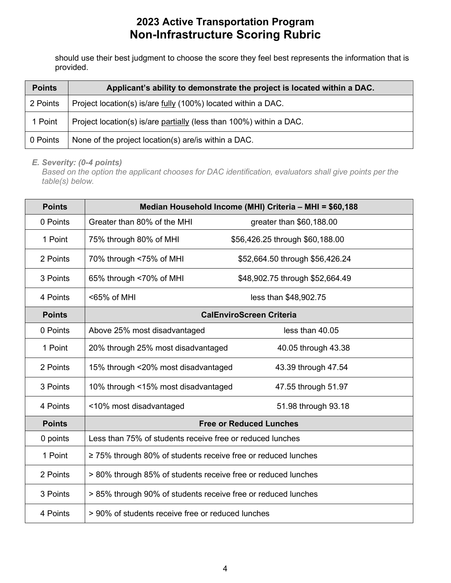should use their best judgment to choose the score they feel best represents the information that is provided.

| <b>Points</b> | Applicant's ability to demonstrate the project is located within a DAC. |
|---------------|-------------------------------------------------------------------------|
| 2 Points      | Project location(s) is/are <u>fully</u> (100%) located within a DAC.    |
| 1 Point       | Project location(s) is/are partially (less than 100%) within a DAC.     |
| 0 Points      | None of the project location(s) are/is within a DAC.                    |

*E. Severity: (0-4 points)* 

 *Based on the option the applicant chooses for DAC identification, evaluators shall give points per the table(s) below.* 

| <b>Points</b> |                                                                    | Median Household Income (MHI) Criteria - MHI = \$60,188 |
|---------------|--------------------------------------------------------------------|---------------------------------------------------------|
| 0 Points      | Greater than 80% of the MHI                                        | greater than \$60,188.00                                |
| 1 Point       | 75% through 80% of MHI                                             | \$56,426.25 through \$60,188.00                         |
| 2 Points      | 70% through <75% of MHI                                            | \$52,664.50 through \$56,426.24                         |
| 3 Points      | 65% through <70% of MHI                                            | \$48,902.75 through \$52,664.49                         |
| 4 Points      | <65% of MHI                                                        | less than \$48,902.75                                   |
| <b>Points</b> |                                                                    | <b>CalEnviroScreen Criteria</b>                         |
| 0 Points      | Above 25% most disadvantaged                                       | less than 40.05                                         |
| 1 Point       | 20% through 25% most disadvantaged                                 | 40.05 through 43.38                                     |
| 2 Points      | 15% through <20% most disadvantaged                                | 43.39 through 47.54                                     |
| 3 Points      | 10% through <15% most disadvantaged                                | 47.55 through 51.97                                     |
| 4 Points      | <10% most disadvantaged                                            | 51.98 through 93.18                                     |
| <b>Points</b> |                                                                    | <b>Free or Reduced Lunches</b>                          |
| 0 points      | Less than 75% of students receive free or reduced lunches          |                                                         |
| 1 Point       | $\geq$ 75% through 80% of students receive free or reduced lunches |                                                         |
| 2 Points      | > 80% through 85% of students receive free or reduced lunches      |                                                         |
| 3 Points      | > 85% through 90% of students receive free or reduced lunches      |                                                         |
| 4 Points      | > 90% of students receive free or reduced lunches                  |                                                         |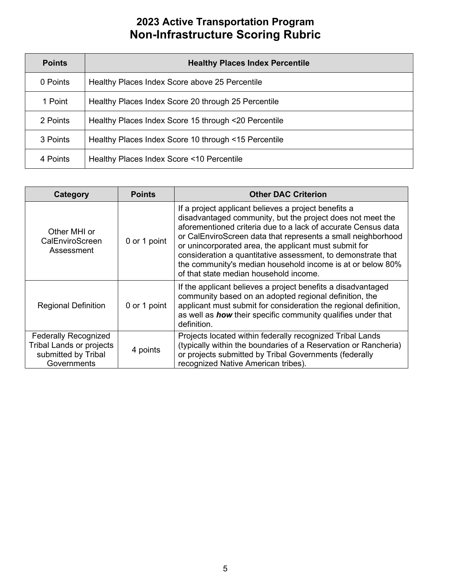| <b>Points</b> | <b>Healthy Places Index Percentile</b>               |
|---------------|------------------------------------------------------|
| 0 Points      | Healthy Places Index Score above 25 Percentile       |
| 1 Point       | Healthy Places Index Score 20 through 25 Percentile  |
| 2 Points      | Healthy Places Index Score 15 through <20 Percentile |
| 3 Points      | Healthy Places Index Score 10 through <15 Percentile |
| 4 Points      | Healthy Places Index Score <10 Percentile            |

| <b>Category</b>                                                                                                  | <b>Points</b> | <b>Other DAC Criterion</b>                                                                                                                                                                                                                                                                                                                                                                                                                                                           |
|------------------------------------------------------------------------------------------------------------------|---------------|--------------------------------------------------------------------------------------------------------------------------------------------------------------------------------------------------------------------------------------------------------------------------------------------------------------------------------------------------------------------------------------------------------------------------------------------------------------------------------------|
| Other MHI or<br>CalEnviroScreen<br>Assessment                                                                    | 0 or 1 point  | If a project applicant believes a project benefits a<br>disadvantaged community, but the project does not meet the<br>aforementioned criteria due to a lack of accurate Census data<br>or CalEnviroScreen data that represents a small neighborhood<br>or unincorporated area, the applicant must submit for<br>consideration a quantitative assessment, to demonstrate that<br>the community's median household income is at or below 80%<br>of that state median household income. |
| <b>Regional Definition</b>                                                                                       | 0 or 1 point  | If the applicant believes a project benefits a disadvantaged<br>community based on an adopted regional definition, the<br>applicant must submit for consideration the regional definition,<br>as well as <b>how</b> their specific community qualifies under that<br>definition.                                                                                                                                                                                                     |
| <b>Federally Recognized</b><br><b>Tribal Lands or projects</b><br>4 points<br>submitted by Tribal<br>Governments |               | Projects located within federally recognized Tribal Lands<br>(typically within the boundaries of a Reservation or Rancheria)<br>or projects submitted by Tribal Governments (federally<br>recognized Native American tribes).                                                                                                                                                                                                                                                        |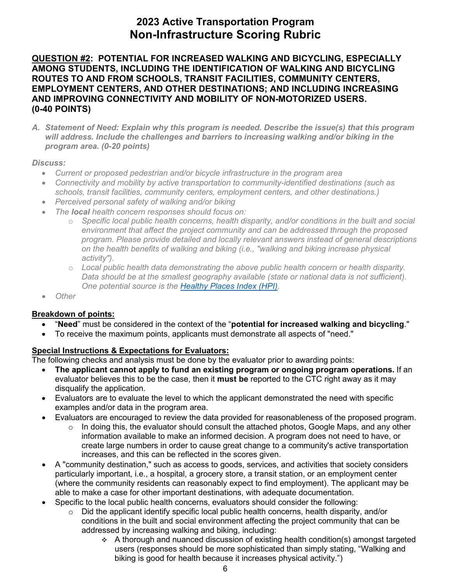### **(0-40 POINTS) QUESTION #2: POTENTIAL FOR INCREASED WALKING AND BICYCLING, ESPECIALLY AMONG STUDENTS, INCLUDING THE IDENTIFICATION OF WALKING AND BICYCLING ROUTES TO AND FROM SCHOOLS, TRANSIT FACILITIES, COMMUNITY CENTERS, EMPLOYMENT CENTERS, AND OTHER DESTINATIONS; AND INCLUDING INCREASING AND IMPROVING CONNECTIVITY AND MOBILITY OF NON-MOTORIZED USERS.**

*A. Statement of Need: Explain why this program is needed. Describe the issue(s) that this program will address. Include the challenges and barriers to increasing walking and/or biking in the program area. (0-20 points)* 

#### *Discuss:*

- *Current or proposed pedestrian and/or bicycle infrastructure in the program area*
- *Connectivity and mobility by active transportation to community-identified destinations (such as schools, transit facilities, community centers, employment centers, and other destinations.)*
- *Perceived personal safety of walking and/or biking*
- *The local health concern responses should focus on:* 
	- *environment that affect the project community and can be addressed through the proposed*  o *Specific local public health concerns, health disparity, and/or conditions in the built and social program. Please provide detailed and locally relevant answers instead of general descriptions on the health benefits of walking and biking (i.e., "walking and biking increase physical activity").*
	- o *Local public health data demonstrating the above public health concern or health disparity. Data should be at the smallest geography available (state or national data is not sufficient). One potential source is the [Healthy Places Index \(HPI\).](http://healthyplacesindex.org/)*
- *Other*

#### **Breakdown of points:**

- "**Need**" must be considered in the context of the "**potential for increased walking and bicycling**."
- To receive the maximum points, applicants must demonstrate all aspects of "need."

#### **Special Instructions & Expectations for Evaluators:**

- **The applicant cannot apply to fund an existing program or ongoing program operations.** If an evaluator believes this to be the case, then it **must be** reported to the CTC right away as it may disqualify the application.
- Evaluators are to evaluate the level to which the applicant demonstrated the need with specific examples and/or data in the program area.
- Evaluators are encouraged to review the data provided for reasonableness of the proposed program.
	- $\circ$  In doing this, the evaluator should consult the attached photos, Google Maps, and any other information available to make an informed decision. A program does not need to have, or create large numbers in order to cause great change to a community's active transportation increases, and this can be reflected in the scores given.
- particularly important, i.e., a hospital, a grocery store, a transit station, or an employment center • A "community destination," such as access to goods, services, and activities that society considers (where the community residents can reasonably expect to find employment). The applicant may be able to make a case for other important destinations, with adequate documentation.
- Specific to the local public health concerns, evaluators should consider the following:
	- conditions in the built and social environment affecting the project community that can be  $\circ$  Did the applicant identify specific local public health concerns, health disparity, and/or addressed by increasing walking and biking, including:
		- $\cdot$  A thorough and nuanced discussion of existing health condition(s) amongst targeted users (responses should be more sophisticated than simply stating, "Walking and biking is good for health because it increases physical activity.")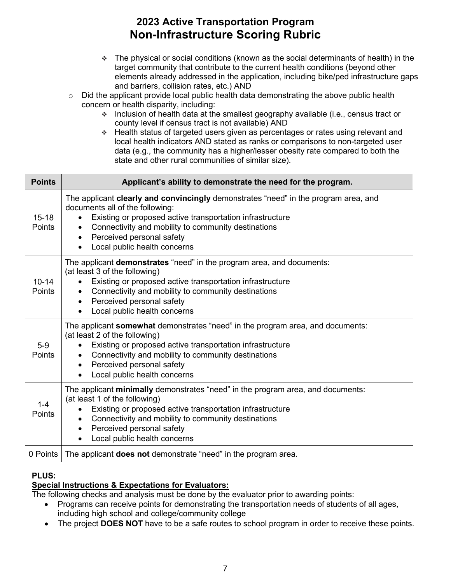- $\div$  The physical or social conditions (known as the social determinants of health) in the target community that contribute to the current health conditions (beyond other elements already addressed in the application, including bike/ped infrastructure gaps and barriers, collision rates, etc.) AND
- o Did the applicant provide local public health data demonstrating the above public health concern or health disparity, including:
	- Inclusion of health data at the smallest geography available (i.e., census tract or county level if census tract is not available) AND
	- Health status of targeted users given as percentages or rates using relevant and local health indicators AND stated as ranks or comparisons to non-targeted user data (e.g., the community has a higher/lesser obesity rate compared to both the state and other rural communities of similar size).

| <b>Points</b>       | Applicant's ability to demonstrate the need for the program.                                                                                                                                                                                                                                                                             |  |
|---------------------|------------------------------------------------------------------------------------------------------------------------------------------------------------------------------------------------------------------------------------------------------------------------------------------------------------------------------------------|--|
| $15 - 18$<br>Points | The applicant clearly and convincingly demonstrates "need" in the program area, and<br>documents all of the following:<br>Existing or proposed active transportation infrastructure<br>Connectivity and mobility to community destinations<br>Perceived personal safety<br>$\bullet$<br>Local public health concerns                     |  |
| $10 - 14$<br>Points | The applicant demonstrates "need" in the program area, and documents:<br>(at least 3 of the following)<br>Existing or proposed active transportation infrastructure<br>Connectivity and mobility to community destinations<br>Perceived personal safety<br>$\bullet$<br>Local public health concerns                                     |  |
| $5-9$<br>Points     | The applicant somewhat demonstrates "need" in the program area, and documents:<br>(at least 2 of the following)<br>Existing or proposed active transportation infrastructure<br>Connectivity and mobility to community destinations<br>$\bullet$<br>Perceived personal safety<br>$\bullet$<br>Local public health concerns               |  |
| $1 - 4$<br>Points   | The applicant minimally demonstrates "need" in the program area, and documents:<br>(at least 1 of the following)<br>Existing or proposed active transportation infrastructure<br>Connectivity and mobility to community destinations<br>$\bullet$<br>Perceived personal safety<br>$\bullet$<br>Local public health concerns<br>$\bullet$ |  |
| 0 Points            | The applicant <b>does not</b> demonstrate "need" in the program area.                                                                                                                                                                                                                                                                    |  |

### **PLUS:**

### **Special Instructions & Expectations for Evaluators:**

- • Programs can receive points for demonstrating the transportation needs of students of all ages, including high school and college/community college
- The project **DOES NOT** have to be a safe routes to school program in order to receive these points.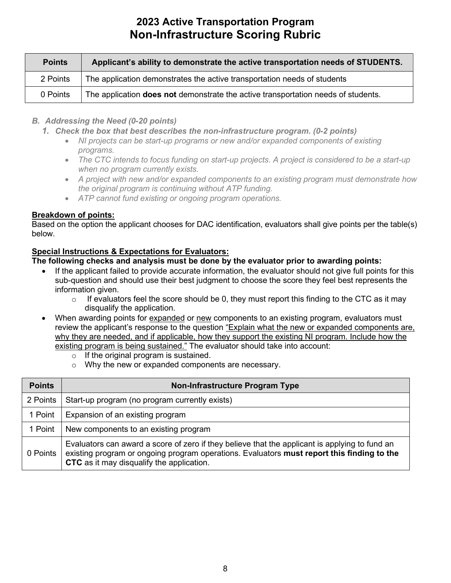| <b>Points</b> | Applicant's ability to demonstrate the active transportation needs of STUDENTS.          |
|---------------|------------------------------------------------------------------------------------------|
| 2 Points      | The application demonstrates the active transportation needs of students                 |
| 0 Points      | The application <b>does not</b> demonstrate the active transportation needs of students. |

- *B. Addressing the Need (0-20 points)* 
	- *1. Check the box that best describes the non-infrastructure program. (0-2 points)* 
		- NI projects can be start-up programs or new and/or expanded components of existing *programs.*
		- The CTC intends to focus funding on start-up projects. A project is considered to be a start-up  *when no program currently exists.*
		- *A project with new and/or expanded components to an existing program must demonstrate how the original program is continuing without ATP funding.*
		- *ATP cannot fund existing or ongoing program operations.*

#### **Breakdown of points:**

 Based on the option the applicant chooses for DAC identification, evaluators shall give points per the table(s) below.

#### **Special Instructions & Expectations for Evaluators:**

- • If the applicant failed to provide accurate information, the evaluator should not give full points for this sub-question and should use their best judgment to choose the score they feel best represents the information given.
	- $\circ$ If evaluators feel the score should be 0, they must report this finding to the CTC as it may disqualify the application.
- When awarding points for expanded or new components to an existing program, evaluators must why they are needed, and if applicable, how they support the existing NI program. Include how the review the applicant's response to the question "Explain what the new or expanded components are, existing program is being sustained." The evaluator should take into account:
	- $\circ$  If the original program is sustained.
	- o Why the new or expanded components are necessary.

| <b>Points</b> | Non-Infrastructure Program Type                                                                                                                                                                                                           |
|---------------|-------------------------------------------------------------------------------------------------------------------------------------------------------------------------------------------------------------------------------------------|
| 2 Points      | Start-up program (no program currently exists)                                                                                                                                                                                            |
| 1 Point       | Expansion of an existing program                                                                                                                                                                                                          |
| 1 Point       | New components to an existing program                                                                                                                                                                                                     |
| 0 Points      | Evaluators can award a score of zero if they believe that the applicant is applying to fund an<br>existing program or ongoing program operations. Evaluators must report this finding to the<br>CTC as it may disqualify the application. |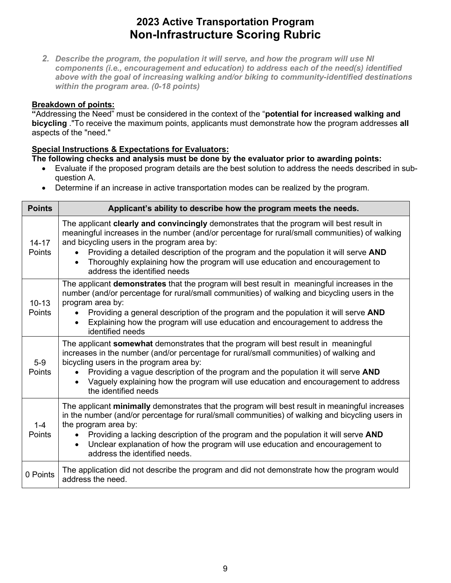*components (i.e., encouragement and education) to address each of the need(s) identified within the program area. (0-18 points) 2. Describe the program, the population it will serve, and how the program will use NI above with the goal of increasing walking and/or biking to community-identified destinations* 

#### **Breakdown of points:**

 **"**Addressing the Need" must be considered in the context of the "**potential for increased walking and**  aspects of the "need." **bicycling** ."To receive the maximum points, applicants must demonstrate how the program addresses **all** 

#### **Special Instructions & Expectations for Evaluators:**

- Evaluate if the proposed program details are the best solution to address the needs described in subquestion A.
- Determine if an increase in active transportation modes can be realized by the program.

| <b>Points</b>       | Applicant's ability to describe how the program meets the needs.                                                                                                                                                                                                                                                                                                                                                                                               |
|---------------------|----------------------------------------------------------------------------------------------------------------------------------------------------------------------------------------------------------------------------------------------------------------------------------------------------------------------------------------------------------------------------------------------------------------------------------------------------------------|
| $14 - 17$<br>Points | The applicant clearly and convincingly demonstrates that the program will best result in<br>meaningful increases in the number (and/or percentage for rural/small communities) of walking<br>and bicycling users in the program area by:<br>Providing a detailed description of the program and the population it will serve AND<br>Thoroughly explaining how the program will use education and encouragement to<br>$\bullet$<br>address the identified needs |
| $10 - 13$<br>Points | The applicant <b>demonstrates</b> that the program will best result in meaningful increases in the<br>number (and/or percentage for rural/small communities) of walking and bicycling users in the<br>program area by:<br>Providing a general description of the program and the population it will serve AND<br>Explaining how the program will use education and encouragement to address the<br>$\bullet$<br>identified needs                               |
| $5-9$<br>Points     | The applicant somewhat demonstrates that the program will best result in meaningful<br>increases in the number (and/or percentage for rural/small communities) of walking and<br>bicycling users in the program area by:<br>Providing a vague description of the program and the population it will serve AND<br>Vaguely explaining how the program will use education and encouragement to address<br>$\bullet$<br>the identified needs                       |
| $1 - 4$<br>Points   | The applicant minimally demonstrates that the program will best result in meaningful increases<br>in the number (and/or percentage for rural/small communities) of walking and bicycling users in<br>the program area by:<br>Providing a lacking description of the program and the population it will serve AND<br>Unclear explanation of how the program will use education and encouragement to<br>$\bullet$<br>address the identified needs.               |
| 0 Points            | The application did not describe the program and did not demonstrate how the program would<br>address the need.                                                                                                                                                                                                                                                                                                                                                |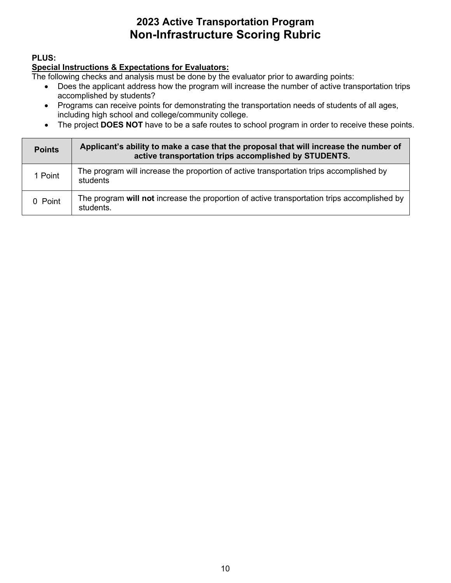### **PLUS:**

### **Special Instructions & Expectations for Evaluators:**

- Does the applicant address how the program will increase the number of active transportation trips accomplished by students?
- Programs can receive points for demonstrating the transportation needs of students of all ages, including high school and college/community college.
- The project **DOES NOT** have to be a safe routes to school program in order to receive these points.

| <b>Points</b> | Applicant's ability to make a case that the proposal that will increase the number of<br>active transportation trips accomplished by STUDENTS. |
|---------------|------------------------------------------------------------------------------------------------------------------------------------------------|
| 1 Point       | The program will increase the proportion of active transportation trips accomplished by<br>students                                            |
| 0 Point       | The program will not increase the proportion of active transportation trips accomplished by<br>students.                                       |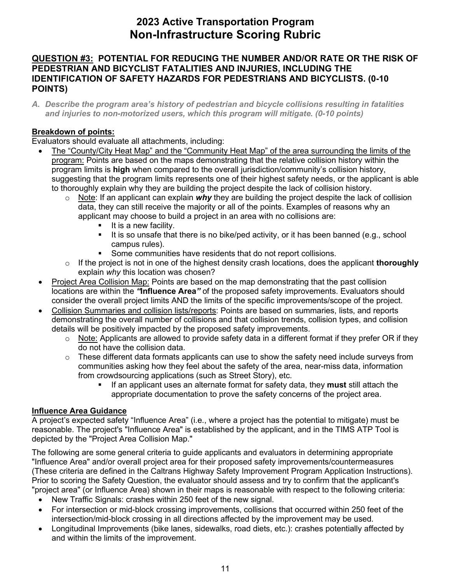### **QUESTION #3: POTENTIAL FOR REDUCING THE NUMBER AND/OR RATE OR THE RISK OF PEDESTRIAN AND BICYCLIST FATALITIES AND INJURIES, INCLUDING THE IDENTIFICATION OF SAFETY HAZARDS FOR PEDESTRIANS AND BICYCLISTS. (0-10 POINTS)**

*A. Describe the program area's history of pedestrian and bicycle collisions resulting in fatalities and injuries to non-motorized users, which this program will mitigate. (0-10 points)* 

### **Breakdown of points:**

Evaluators should evaluate all attachments, including:

- The "County/City Heat Map" and the "Community Heat Map" of the area surrounding the limits of the program: Points are based on the maps demonstrating that the relative collision history within the program limits is **high** when compared to the overall jurisdiction/community's collision history, suggesting that the program limits represents one of their highest safety needs, or the applicant is able to thoroughly explain why they are building the project despite the lack of collision history.
	- $\circ$  Note: If an applicant can explain *why* they are building the project despite the lack of collision data, they can still receive the majority or all of the points. Examples of reasons why an applicant may choose to build a project in an area with no collisions are:
		- $\blacksquare$  It is a new facility.
		- It is so unsafe that there is no bike/ped activity, or it has been banned (e.g., school campus rules).
		- **Some communities have residents that do not report collisions.**
	- o If the project is not in one of the highest density crash locations, does the applicant **thoroughly**  explain *why* this location was chosen?
- Project Area Collision Map: Points are based on the map demonstrating that the past collision consider the overall project limits AND the limits of the specific improvements/scope of the project. locations are within the *"***Influence Area***"* of the proposed safety improvements. Evaluators should
- Collision Summaries and collision lists/reports: Points are based on summaries, lists, and reports demonstrating the overall number of collisions and that collision trends, collision types, and collision details will be positively impacted by the proposed safety improvements.
	- $\circ$   $\,$  <u>Note:</u> Applicants are allowed to provide safety data in a different format if they prefer OR if they do not have the collision data.
	- $\circ$  These different data formats applicants can use to show the safety need include surveys from communities asking how they feel about the safety of the area, near-miss data, information from crowdsourcing applications (such as Street Story), etc.
		- If an applicant uses an alternate format for safety data, they **must** still attach the appropriate documentation to prove the safety concerns of the project area.

### **Influence Area Guidance**

 A project's expected safety "Influence Area" (i.e., where a project has the potential to mitigate) must be depicted by the "Project Area Collision Map." reasonable. The project's "Influence Area" is established by the applicant, and in the TIMS ATP Tool is

 Prior to scoring the Safety Question, the evaluator should assess and try to confirm that the applicant's "project area" (or Influence Area) shown in their maps is reasonable with respect to the following criteria: The following are some general criteria to guide applicants and evaluators in determining appropriate "Influence Area" and/or overall project area for their proposed safety improvements/countermeasures (These criteria are defined in the Caltrans Highway Safety Improvement Program Application Instructions).

- New Traffic Signals: crashes within 250 feet of the new signal.
- For intersection or mid-block crossing improvements, collisions that occurred within 250 feet of the intersection/mid-block crossing in all directions affected by the improvement may be used.
- Longitudinal Improvements (bike lanes, sidewalks, road diets, etc.): crashes potentially affected by and within the limits of the improvement.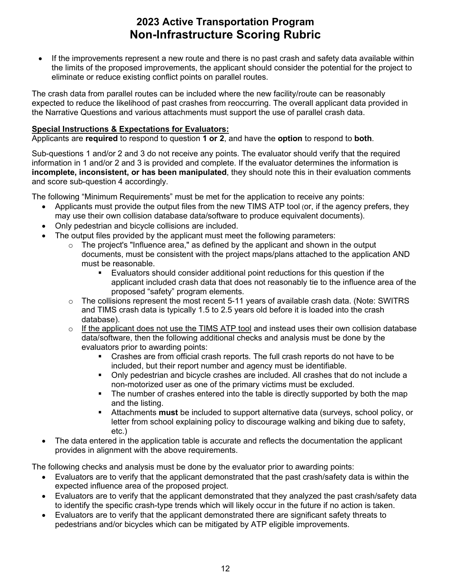eliminate or reduce existing conflict points on parallel routes. • If the improvements represent a new route and there is no past crash and safety data available within the limits of the proposed improvements, the applicant should consider the potential for the project to

 expected to reduce the likelihood of past crashes from reoccurring. The overall applicant data provided in the Narrative Questions and various attachments must support the use of parallel crash data. The crash data from parallel routes can be included where the new facility/route can be reasonably

#### **Special Instructions & Expectations for Evaluators:**

Applicants are **required** to respond to question **1 or 2**, and have the **option** to respond to **both**.

 information in 1 and/or 2 and 3 is provided and complete. If the evaluator determines the information is **incomplete, inconsistent, or has been manipulated**, they should note this in their evaluation comments and score sub-question 4 accordingly. Sub-questions 1 and/or 2 and 3 do not receive any points. The evaluator should verify that the required

and score sub-question 4 accordingly.<br>The following "Minimum Requirements" must be met for the application to receive any points:

- • Applicants must provide the output files from the new TIMS ATP tool (or, if the agency prefers, they may use their own collision database data/software to produce equivalent documents).
- Only pedestrian and bicycle collisions are included.
- • The output files provided by the applicant must meet the following parameters:
	- must be reasonable.  $\circ$  The project's "Influence area," as defined by the applicant and shown in the output documents, must be consistent with the project maps/plans attached to the application AND
		- applicant included crash data that does not reasonably tie to the influence area of the proposed "safety" program elements. Evaluators should consider additional point reductions for this question if the
	- $\circ$  The collisions represent the most recent 5-11 years of available crash data. (Note: SWITRS and TIMS crash data is typically 1.5 to 2.5 years old before it is loaded into the crash database).
	- $\circ$  If the applicant does not use the TIMS ATP tool and instead uses their own collision database data/software, then the following additional checks and analysis must be done by the evaluators prior to awarding points:
		- Crashes are from official crash reports. The full crash reports do not have to be included, but their report number and agency must be identifiable.
		- Only pedestrian and bicycle crashes are included. All crashes that do not include a non-motorized user as one of the primary victims must be excluded.
		- The number of crashes entered into the table is directly supported by both the map and the listing.
		- Attachments **must** be included to support alternative data (surveys, school policy, or letter from school explaining policy to discourage walking and biking due to safety, etc.)
- The data entered in the application table is accurate and reflects the documentation the applicant provides in alignment with the above requirements.

- • Evaluators are to verify that the applicant demonstrated that the past crash/safety data is within the expected influence area of the proposed project.
- • Evaluators are to verify that the applicant demonstrated that they analyzed the past crash/safety data to identify the specific crash-type trends which will likely occur in the future if no action is taken.
- • Evaluators are to verify that the applicant demonstrated there are significant safety threats to pedestrians and/or bicycles which can be mitigated by ATP eligible improvements.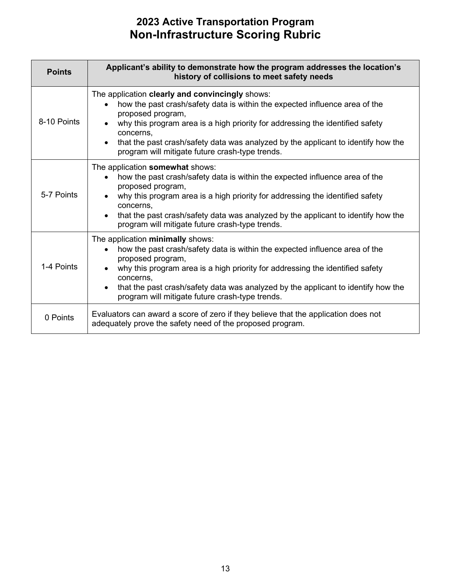| <b>Points</b> | Applicant's ability to demonstrate how the program addresses the location's<br>history of collisions to meet safety needs                                                                                                                                                                                                                                                                                           |
|---------------|---------------------------------------------------------------------------------------------------------------------------------------------------------------------------------------------------------------------------------------------------------------------------------------------------------------------------------------------------------------------------------------------------------------------|
| 8-10 Points   | The application clearly and convincingly shows:<br>how the past crash/safety data is within the expected influence area of the<br>$\bullet$<br>proposed program,<br>why this program area is a high priority for addressing the identified safety<br>concerns,<br>that the past crash/safety data was analyzed by the applicant to identify how the<br>$\bullet$<br>program will mitigate future crash-type trends. |
| 5-7 Points    | The application somewhat shows:<br>how the past crash/safety data is within the expected influence area of the<br>$\bullet$<br>proposed program,<br>why this program area is a high priority for addressing the identified safety<br>concerns,<br>that the past crash/safety data was analyzed by the applicant to identify how the<br>$\bullet$<br>program will mitigate future crash-type trends.                 |
| 1-4 Points    | The application minimally shows:<br>how the past crash/safety data is within the expected influence area of the<br>$\bullet$<br>proposed program,<br>why this program area is a high priority for addressing the identified safety<br>concerns.<br>that the past crash/safety data was analyzed by the applicant to identify how the<br>$\bullet$<br>program will mitigate future crash-type trends.                |
| 0 Points      | Evaluators can award a score of zero if they believe that the application does not<br>adequately prove the safety need of the proposed program.                                                                                                                                                                                                                                                                     |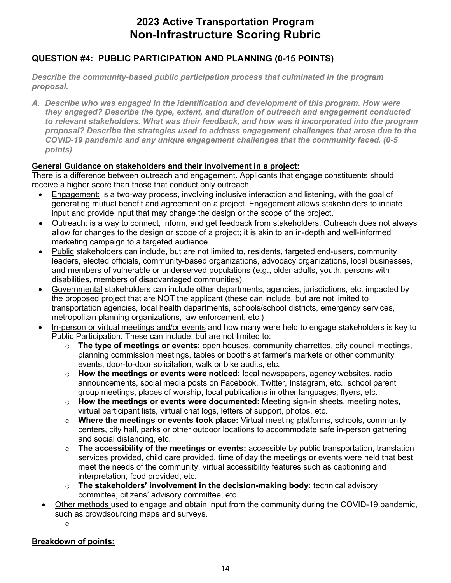### **QUESTION #4: PUBLIC PARTICIPATION AND PLANNING (0-15 POINTS)**

proposal. *Describe the community-based public participation process that culminated in the program* 

 *COVID-19 pandemic and any unique engagement challenges that the community faced. (0-5 proposal. A. Describe who was engaged in the identification and development of this program. How were they engaged? Describe the type, extent, and duration of outreach and engagement conducted to relevant stakeholders. What was their feedback, and how was it incorporated into the program proposal? Describe the strategies used to address engagement challenges that arose due to the points)* 

#### **General Guidance on stakeholders and their involvement in a project:**

 There is a difference between outreach and engagement. Applicants that engage constituents should receive a higher score than those that conduct only outreach.

- input and provide input that may change the design or the scope of the project. • Engagement: is a two-way process, involving inclusive interaction and listening, with the goal of generating mutual benefit and agreement on a project. Engagement allows stakeholders to initiate
- Outreach: is a way to connect, inform, and get feedback from stakeholders. Outreach does not always allow for changes to the design or scope of a project; it is akin to an in-depth and well-informed marketing campaign to a targeted audience.
- $\bullet$ • Public stakeholders can include, but are not limited to, residents, targeted end-users, community leaders, elected officials, community-based organizations, advocacy organizations, local businesses, and members of vulnerable or underserved populations (e.g., older adults, youth, persons with disabilities, members of disadvantaged communities).
- Governmental stakeholders can include other departments, agencies, jurisdictions, etc. impacted by the proposed project that are NOT the applicant (these can include, but are not limited to transportation agencies, local health departments, schools/school districts, emergency services, metropolitan planning organizations, law enforcement, etc.)
- In-person or virtual meetings and/or events and how many were held to engage stakeholders is key to Public Participation. These can include, but are not limited to:
	- planning commission meetings, tables or booths at farmer's markets or other community o **The type of meetings or events:** open houses, community charrettes, city council meetings, events, door-to-door solicitation, walk or bike audits, etc.
	- group meetings, places of worship, local publications in other languages, flyers, etc. o **How the meetings or events were noticed:** local newspapers, agency websites, radio announcements, social media posts on Facebook, Twitter, Instagram, etc., school parent
	- o **How the meetings or events were documented:** Meeting sign-in sheets, meeting notes, virtual participant lists, virtual chat logs, letters of support, photos, etc.
	- centers, city hall, parks or other outdoor locations to accommodate safe in-person gathering o **Where the meetings or events took place:** Virtual meeting platforms, schools, community and social distancing, etc.
	- interpretation, food provided, etc. o **The accessibility of the meetings or events:** accessible by public transportation, translation services provided, child care provided, time of day the meetings or events were held that best meet the needs of the community, virtual accessibility features such as captioning and
	- committee, citizens' advisory committee, etc. o **The stakeholders' involvement in the decision-making body:** technical advisory
- Other methods used to engage and obtain input from the community during the COVID-19 pandemic, such as crowdsourcing maps and surveys.

o

### **Breakdown of points:**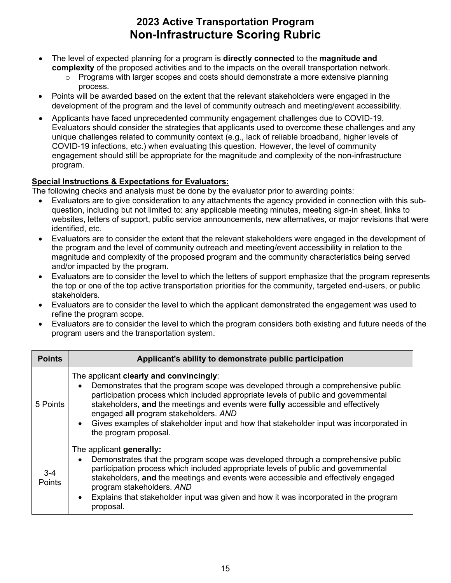- The level of expected planning for a program is **directly connected** to the **magnitude and complexity** of the proposed activities and to the impacts on the overall transportation network.
	- o Programs with larger scopes and costs should demonstrate a more extensive planning process.
- Points will be awarded based on the extent that the relevant stakeholders were engaged in the development of the program and the level of community outreach and meeting/event accessibility.
- engagement should still be appropriate for the magnitude and complexity of the non-infrastructure • Applicants have faced unprecedented community engagement challenges due to COVID-19. Evaluators should consider the strategies that applicants used to overcome these challenges and any unique challenges related to community context (e.g., lack of reliable broadband, higher levels of COVID-19 infections, etc.) when evaluating this question. However, the level of community program.

### **Special Instructions & Expectations for Evaluators:**

- websites, letters of support, public service announcements, new alternatives, or major revisions that were identified, etc. • Evaluators are to give consideration to any attachments the agency provided in connection with this subquestion, including but not limited to: any applicable meeting minutes, meeting sign-in sheet, links to
- Evaluators are to consider the extent that the relevant stakeholders were engaged in the development of the program and the level of community outreach and meeting/event accessibility in relation to the magnitude and complexity of the proposed program and the community characteristics being served and/or impacted by the program.
- • Evaluators are to consider the level to which the letters of support emphasize that the program represents the top or one of the top active transportation priorities for the community, targeted end-users, or public stakeholders.
- • Evaluators are to consider the level to which the applicant demonstrated the engagement was used to refine the program scope.
- • Evaluators are to consider the level to which the program considers both existing and future needs of the program users and the transportation system.

| <b>Points</b>     | Applicant's ability to demonstrate public participation                                                                                                                                                                                                                                                                                                                                                                                                                                    |
|-------------------|--------------------------------------------------------------------------------------------------------------------------------------------------------------------------------------------------------------------------------------------------------------------------------------------------------------------------------------------------------------------------------------------------------------------------------------------------------------------------------------------|
| 5 Points          | The applicant clearly and convincingly:<br>Demonstrates that the program scope was developed through a comprehensive public<br>$\bullet$<br>participation process which included appropriate levels of public and governmental<br>stakeholders, and the meetings and events were fully accessible and effectively<br>engaged all program stakeholders. AND<br>Gives examples of stakeholder input and how that stakeholder input was incorporated in<br>$\bullet$<br>the program proposal. |
| $3 - 4$<br>Points | The applicant generally:<br>Demonstrates that the program scope was developed through a comprehensive public<br>$\bullet$<br>participation process which included appropriate levels of public and governmental<br>stakeholders, and the meetings and events were accessible and effectively engaged<br>program stakeholders. AND<br>Explains that stakeholder input was given and how it was incorporated in the program<br>$\bullet$<br>proposal.                                        |
|                   | 15                                                                                                                                                                                                                                                                                                                                                                                                                                                                                         |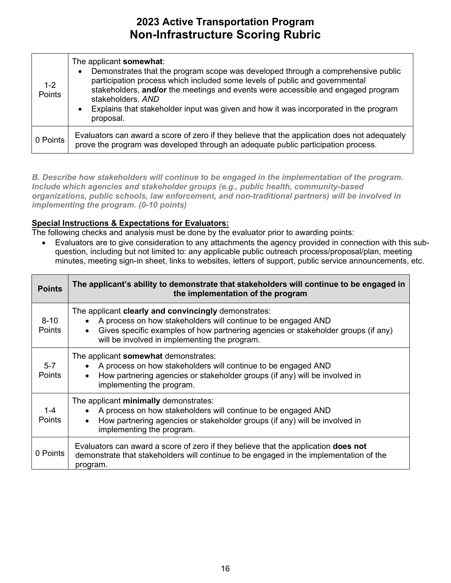| $1 - 2$<br>Points | The applicant somewhat:<br>Demonstrates that the program scope was developed through a comprehensive public<br>$\bullet$<br>participation process which included some levels of public and governmental<br>stakeholders, and/or the meetings and events were accessible and engaged program<br>stakeholders, AND<br>Explains that stakeholder input was given and how it was incorporated in the program<br>$\bullet$<br>proposal. |  |
|-------------------|------------------------------------------------------------------------------------------------------------------------------------------------------------------------------------------------------------------------------------------------------------------------------------------------------------------------------------------------------------------------------------------------------------------------------------|--|
| 0 Points          | Evaluators can award a score of zero if they believe that the application does not adequately<br>prove the program was developed through an adequate public participation process.                                                                                                                                                                                                                                                 |  |

 *B. Describe how stakeholders will continue to be engaged in the implementation of the program. organizations, public schools, law enforcement, and non-traditional partners) will be involved in implementing the program. (0-10 points) Include which agencies and stakeholder groups (e.g., public health, community-based* 

### **Special Instructions & Expectations for Evaluators:**

The following checks and analysis must be done by the evaluator prior to awarding points:

 minutes, meeting sign-in sheet, links to websites, letters of support, public service announcements, etc. • Evaluators are to give consideration to any attachments the agency provided in connection with this subquestion, including but not limited to: any applicable public outreach process/proposal/plan, meeting

| <b>Points</b>             | The applicant's ability to demonstrate that stakeholders will continue to be engaged in<br>the implementation of the program                                                                                                                                |
|---------------------------|-------------------------------------------------------------------------------------------------------------------------------------------------------------------------------------------------------------------------------------------------------------|
| $8 - 10$<br><b>Points</b> | The applicant clearly and convincingly demonstrates:<br>A process on how stakeholders will continue to be engaged AND<br>Gives specific examples of how partnering agencies or stakeholder groups (if any)<br>will be involved in implementing the program. |
| $5 - 7$<br>Points         | The applicant somewhat demonstrates:<br>A process on how stakeholders will continue to be engaged AND<br>How partnering agencies or stakeholder groups (if any) will be involved in<br>implementing the program.                                            |
| $1 - 4$<br><b>Points</b>  | The applicant minimally demonstrates:<br>A process on how stakeholders will continue to be engaged AND<br>How partnering agencies or stakeholder groups (if any) will be involved in<br>implementing the program.                                           |
| 0 Points                  | Evaluators can award a score of zero if they believe that the application <b>does not</b><br>demonstrate that stakeholders will continue to be engaged in the implementation of the<br>program.                                                             |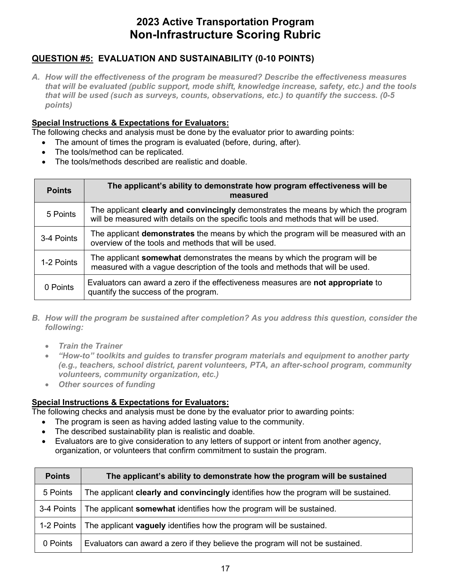### **QUESTION #5: EVALUATION AND SUSTAINABILITY (0-10 POINTS)**

*A. How will the effectiveness of the program be measured? Describe the effectiveness measures that will be evaluated (public support, mode shift, knowledge increase, safety, etc.) and the tools that will be used (such as surveys, counts, observations, etc.) to quantify the success. (0-5 points)* 

### **Special Instructions & Expectations for Evaluators:**

The following checks and analysis must be done by the evaluator prior to awarding points:

- The amount of times the program is evaluated (before, during, after).
- The tools/method can be replicated.
- The tools/methods described are realistic and doable.

| <b>Points</b> | The applicant's ability to demonstrate how program effectiveness will be<br>measured                                                                                     |
|---------------|--------------------------------------------------------------------------------------------------------------------------------------------------------------------------|
| 5 Points      | The applicant clearly and convincingly demonstrates the means by which the program<br>will be measured with details on the specific tools and methods that will be used. |
| 3-4 Points    | The applicant <b>demonstrates</b> the means by which the program will be measured with an<br>overview of the tools and methods that will be used.                        |
| 1-2 Points    | The applicant <b>somewhat</b> demonstrates the means by which the program will be<br>measured with a vague description of the tools and methods that will be used.       |
| 0 Points      | Evaluators can award a zero if the effectiveness measures are not appropriate to<br>quantify the success of the program.                                                 |

- *B. How will the program be sustained after completion? As you address this question, consider the following:* 
	- *Train the Trainer*
	- *"How-to" toolkits and guides to transfer program materials and equipment to another party (e.g., teachers, school district, parent volunteers, PTA, an after-school program, community volunteers, community organization, etc.)*
	- *Other sources of funding*

### **Special Instructions & Expectations for Evaluators:**

- The program is seen as having added lasting value to the community.
- The described sustainability plan is realistic and doable.
- Evaluators are to give consideration to any letters of support or intent from another agency, organization, or volunteers that confirm commitment to sustain the program.

| <b>Points</b> | The applicant's ability to demonstrate how the program will be sustained             |
|---------------|--------------------------------------------------------------------------------------|
| 5 Points      | The applicant clearly and convincingly identifies how the program will be sustained. |
| 3-4 Points    | The applicant somewhat identifies how the program will be sustained.                 |
| 1-2 Points    | The applicant <b>vaguely</b> identifies how the program will be sustained.           |
| 0 Points      | Evaluators can award a zero if they believe the program will not be sustained.       |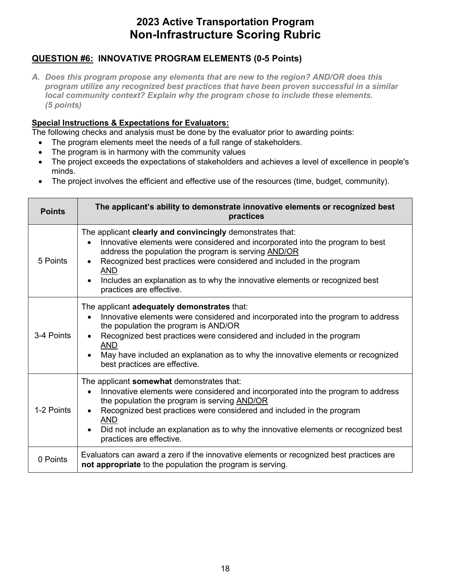### **QUESTION #6: INNOVATIVE PROGRAM ELEMENTS (0-5 Points)**

*A. Does this program propose any elements that are new to the region? AND/OR does this program utilize any recognized best practices that have been proven successful in a similar local community context? Explain why the program chose to include these elements. (5 points)* 

### **Special Instructions & Expectations for Evaluators:**

- The program elements meet the needs of a full range of stakeholders.
- The program is in harmony with the community values
- • The project exceeds the expectations of stakeholders and achieves a level of excellence in people's minds.
- The project involves the efficient and effective use of the resources (time, budget, community).

| <b>Points</b> | The applicant's ability to demonstrate innovative elements or recognized best<br>practices                                                                                                                                                                                                                                                                                                            |
|---------------|-------------------------------------------------------------------------------------------------------------------------------------------------------------------------------------------------------------------------------------------------------------------------------------------------------------------------------------------------------------------------------------------------------|
| 5 Points      | The applicant clearly and convincingly demonstrates that:<br>Innovative elements were considered and incorporated into the program to best<br>address the population the program is serving AND/OR<br>Recognized best practices were considered and included in the program<br><b>AND</b><br>Includes an explanation as to why the innovative elements or recognized best<br>practices are effective. |
| 3-4 Points    | The applicant adequately demonstrates that:<br>Innovative elements were considered and incorporated into the program to address<br>the population the program is AND/OR<br>Recognized best practices were considered and included in the program<br><b>AND</b><br>May have included an explanation as to why the innovative elements or recognized<br>best practices are effective.                   |
| 1-2 Points    | The applicant somewhat demonstrates that:<br>Innovative elements were considered and incorporated into the program to address<br>$\bullet$<br>the population the program is serving AND/OR<br>Recognized best practices were considered and included in the program<br><b>AND</b><br>Did not include an explanation as to why the innovative elements or recognized best<br>practices are effective.  |
| 0 Points      | Evaluators can award a zero if the innovative elements or recognized best practices are<br>not appropriate to the population the program is serving.                                                                                                                                                                                                                                                  |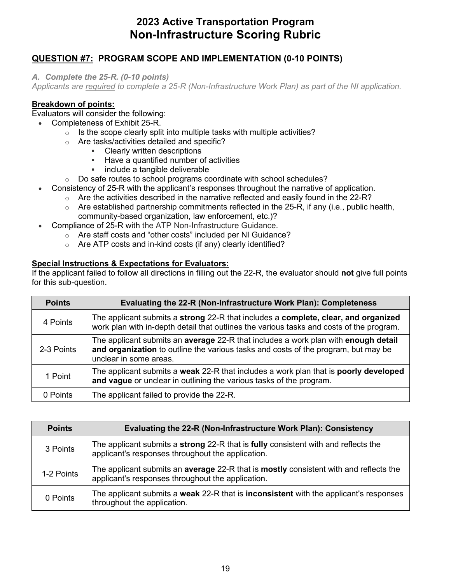### **QUESTION #7: PROGRAM SCOPE AND IMPLEMENTATION (0-10 POINTS)**

*A. Complete the 25-R. (0-10 points)* 

*Applicants are required to complete a 25-R (Non-Infrastructure Work Plan) as part of the NI application.* 

#### **Breakdown of points:**

Evaluators will consider the following:

- Completeness of Exhibit 25-R.
	- $\circ$  Is the scope clearly split into multiple tasks with multiple activities?
	- $\circ$  Are tasks/activities detailed and specific?<br>
	Folearly written descriptions
		- Clearly written descriptions
		- **Have a quantified number of activities**
		- **include a tangible deliverable**
	- $\circ$  Do safe routes to school programs coordinate with school schedules?
- Consistency of 25-R with the applicant's responses throughout the narrative of application.
	- $\circ$  Are the activities described in the narrative reflected and easily found in the 22-R?
	- $\circ$  Are established partnership commitments reflected in the 25-R, if any (i.e., public health, community-based organization, law enforcement, etc.)?
- Compliance of 25-R with the ATP Non-Infrastructure Guidance.
	- $\circ$  Are staff costs and "other costs" included per NI Guidance?
	- $\circ$  Are ATP costs and in-kind costs (if any) clearly identified?

#### **Special Instructions & Expectations for Evaluators:**

 If the applicant failed to follow all directions in filling out the 22-R, the evaluator should **not** give full points for this sub-question.

| <b>Points</b> | Evaluating the 22-R (Non-Infrastructure Work Plan): Completeness                                                                                                                                   |
|---------------|----------------------------------------------------------------------------------------------------------------------------------------------------------------------------------------------------|
| 4 Points      | The applicant submits a strong 22-R that includes a complete, clear, and organized<br>work plan with in-depth detail that outlines the various tasks and costs of the program.                     |
| 2-3 Points    | The applicant submits an average 22-R that includes a work plan with enough detail<br>and organization to outline the various tasks and costs of the program, but may be<br>unclear in some areas. |
| 1 Point       | The applicant submits a weak 22-R that includes a work plan that is poorly developed<br>and vague or unclear in outlining the various tasks of the program.                                        |
| 0 Points      | The applicant failed to provide the 22-R.                                                                                                                                                          |

| <b>Points</b> | Evaluating the 22-R (Non-Infrastructure Work Plan): Consistency                                                                                       |
|---------------|-------------------------------------------------------------------------------------------------------------------------------------------------------|
| 3 Points      | The applicant submits a <b>strong</b> 22-R that is <b>fully</b> consistent with and reflects the<br>applicant's responses throughout the application. |
| 1-2 Points    | The applicant submits an average 22-R that is mostly consistent with and reflects the<br>applicant's responses throughout the application.            |
| 0 Points      | The applicant submits a weak 22-R that is inconsistent with the applicant's responses<br>throughout the application.                                  |